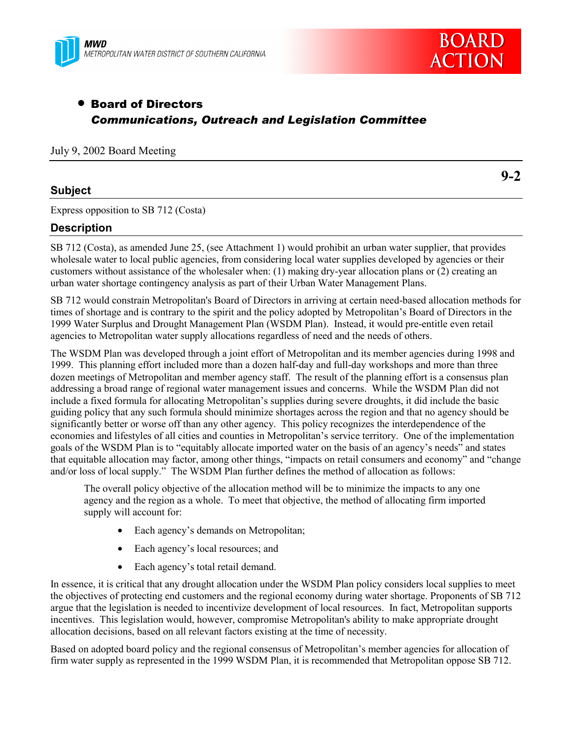



**9-2**

# • Board of Directors *Communications, Outreach and Legislation Committee*

## July 9, 2002 Board Meeting

## **Subject**

Express opposition to SB 712 (Costa)

## **Description**

SB 712 (Costa), as amended June 25, (see Attachment 1) would prohibit an urban water supplier, that provides wholesale water to local public agencies, from considering local water supplies developed by agencies or their customers without assistance of the wholesaler when: (1) making dry-year allocation plans or (2) creating an urban water shortage contingency analysis as part of their Urban Water Management Plans.

SB 712 would constrain Metropolitan's Board of Directors in arriving at certain need-based allocation methods for times of shortage and is contrary to the spirit and the policy adopted by Metropolitan's Board of Directors in the 1999 Water Surplus and Drought Management Plan (WSDM Plan). Instead, it would pre-entitle even retail agencies to Metropolitan water supply allocations regardless of need and the needs of others.

The WSDM Plan was developed through a joint effort of Metropolitan and its member agencies during 1998 and 1999. This planning effort included more than a dozen half-day and full-day workshops and more than three dozen meetings of Metropolitan and member agency staff. The result of the planning effort is a consensus plan addressing a broad range of regional water management issues and concerns. While the WSDM Plan did not include a fixed formula for allocating Metropolitan's supplies during severe droughts, it did include the basic guiding policy that any such formula should minimize shortages across the region and that no agency should be significantly better or worse off than any other agency. This policy recognizes the interdependence of the economies and lifestyles of all cities and counties in Metropolitan's service territory. One of the implementation goals of the WSDM Plan is to "equitably allocate imported water on the basis of an agency's needs" and states that equitable allocation may factor, among other things, "impacts on retail consumers and economy" and "change and/or loss of local supply." The WSDM Plan further defines the method of allocation as follows:

The overall policy objective of the allocation method will be to minimize the impacts to any one agency and the region as a whole. To meet that objective, the method of allocating firm imported supply will account for:

- Each agency's demands on Metropolitan;
- Each agency's local resources; and
- Each agency's total retail demand.

In essence, it is critical that any drought allocation under the WSDM Plan policy considers local supplies to meet the objectives of protecting end customers and the regional economy during water shortage. Proponents of SB 712 argue that the legislation is needed to incentivize development of local resources. In fact, Metropolitan supports incentives. This legislation would, however, compromise Metropolitan's ability to make appropriate drought allocation decisions, based on all relevant factors existing at the time of necessity.

Based on adopted board policy and the regional consensus of Metropolitan's member agencies for allocation of firm water supply as represented in the 1999 WSDM Plan, it is recommended that Metropolitan oppose SB 712.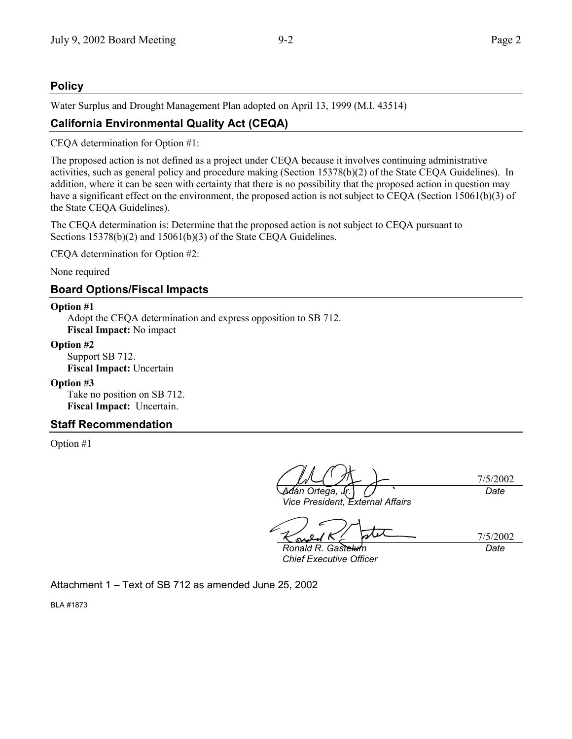## **Policy**

Water Surplus and Drought Management Plan adopted on April 13, 1999 (M.I. 43514)

## **California Environmental Quality Act (CEQA)**

CEQA determination for Option #1:

The proposed action is not defined as a project under CEQA because it involves continuing administrative activities, such as general policy and procedure making (Section 15378(b)(2) of the State CEQA Guidelines). In addition, where it can be seen with certainty that there is no possibility that the proposed action in question may have a significant effect on the environment, the proposed action is not subject to CEQA (Section 15061(b)(3) of the State CEQA Guidelines).

The CEQA determination is: Determine that the proposed action is not subject to CEQA pursuant to Sections 15378(b)(2) and 15061(b)(3) of the State CEOA Guidelines.

CEQA determination for Option #2:

None required

## **Board Options/Fiscal Impacts**

### **Option #1**

Adopt the CEQA determination and express opposition to SB 712. **Fiscal Impact:** No impact

### **Option #2**

Support SB 712. **Fiscal Impact:** Uncertain

### **Option #3**

Take no position on SB 712. **Fiscal Impact:** Uncertain.

## **Staff Recommendation**

Option #1

7/5/2002 *Adán Ortega,* . *Date*

*Vice President, External Affairs*

7/5/2002 *Ronald R. Gastelum*

*Chief Executive Officer*

*Date*

Attachment  $1 - Text$  of SB 712 as amended June 25, 2002

BLA #1873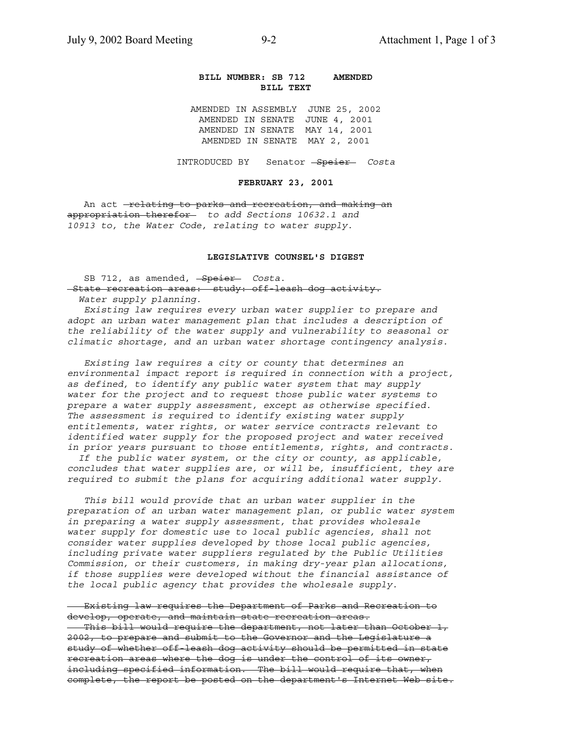### **BILL NUMBER: SB 712 AMENDED BILL TEXT**

AMENDED IN ASSEMBLY JUNE 25, 2002 AMENDED IN SENATE JUNE 4, 2001 AMENDED IN SENATE MAY 14, 2001 AMENDED IN SENATE MAY 2, 2001

INTRODUCED BY Senator Speier *Costa*

#### **FEBRUARY 23, 2001**

An act -relating to parks and recreation, and making an appropriation therefor *to add Sections 10632.1 and 10913 to, the Water Code, relating to water supply*.

### **LEGISLATIVE COUNSEL'S DIGEST**

SB 712, as amended, <del>Speier</del> *Costa*. State recreation areas: study: off-leash dog activity.  *Water supply planning.*

 *Existing law requires every urban water supplier to prepare and adopt an urban water management plan that includes a description of the reliability of the water supply and vulnerability to seasonal or climatic shortage, and an urban water shortage contingency analysis.*

 *Existing law requires a city or county that determines an environmental impact report is required in connection with a project, as defined, to identify any public water system that may supply water for the project and to request those public water systems to prepare a water supply assessment, except as otherwise specified. The assessment is required to identify existing water supply entitlements, water rights, or water service contracts relevant to identified water supply for the proposed project and water received in prior years pursuant to those entitlements, rights, and contracts.*

 *If the public water system, or the city or county, as applicable, concludes that water supplies are, or will be, insufficient, they are required to submit the plans for acquiring additional water supply.*

 *This bill would provide that an urban water supplier in the preparation of an urban water management plan, or public water system in preparing a water supply assessment, that provides wholesale water supply for domestic use to local public agencies, shall not consider water supplies developed by those local public agencies, including private water suppliers regulated by the Public Utilities Commission, or their customers, in making dry-year plan allocations, if those supplies were developed without the financial assistance of the local public agency that provides the wholesale supply.*

 Existing law requires the Department of Parks and Recreation to develop, operate, and maintain state recreation areas. This bill would require the department, not later than October 1, 2002, to prepare and submit to the Governor and the Legislature a study of whether off-leash dog activity should be permitted in state recreation areas where the dog is under the control of its owner, including specified information. The bill would require that, when complete, the report be posted on the department's Internet Web site.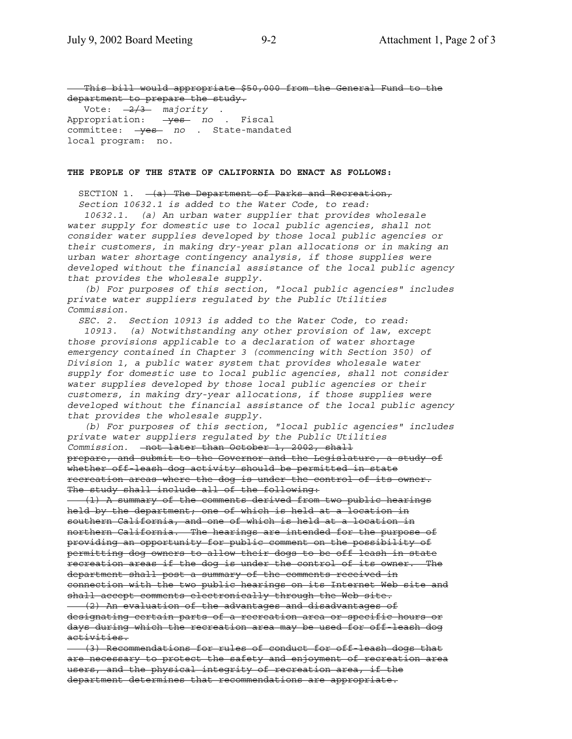This bill would appropriate \$50,000 from the General Fund to the department to prepare the study. Vote: 2/3 *majority* . Appropriation: yes *no* . Fiscal committee: **yes** *no* . State-mandated local program: no.

#### **THE PEOPLE OF THE STATE OF CALIFORNIA DO ENACT AS FOLLOWS:**

SECTION 1.  $-(a)$  The Department of Parks and Recreation,

 *Section 10632.1 is added to the Water Code, to read:*

 *10632.1. (a) An urban water supplier that provides wholesale water supply for domestic use to local public agencies, shall not consider water supplies developed by those local public agencies or their customers, in making dry-year plan allocations or in making an urban water shortage contingency analysis, if those supplies were developed without the financial assistance of the local public agency that provides the wholesale supply.*

 *(b) For purposes of this section, "local public agencies" includes private water suppliers regulated by the Public Utilities Commission.*

 *SEC. 2. Section 10913 is added to the Water Code, to read:*

 *10913. (a) Notwithstanding any other provision of law, except those provisions applicable to a declaration of water shortage emergency contained in Chapter 3 (commencing with Section 350) of Division 1, a public water system that provides wholesale water supply for domestic use to local public agencies, shall not consider water supplies developed by those local public agencies or their customers, in making dry-year allocations, if those supplies were developed without the financial assistance of the local public agency that provides the wholesale supply.*

 *(b) For purposes of this section, "local public agencies" includes private water suppliers regulated by the Public Utilities Commission.* not later than October 1, 2002, shall prepare, and submit to the Governor and the Legislature, a study of whether off-leash dog activity should be permitted in state recreation areas where the dog is under the control of its owner. The study shall include all of the following:

 (1) A summary of the comments derived from two public hearings held by the department; one of which is held at a location in southern California, and one of which is held at a location in northern California. The hearings are intended for the purpose of providing an opportunity for public comment on the possibility of permitting dog owners to allow their dogs to be off leash in state recreation areas if the dog is under the control of its owner. The department shall post a summary of the comments received in connection with the two public hearings on its Internet Web site and shall accept comments electronically through the Web site.

 (2) An evaluation of the advantages and disadvantages of designating certain parts of a recreation area or specific hours or days during which the recreation area may be used for off-leash dog activities.

 (3) Recommendations for rules of conduct for off-leash dogs that are necessary to protect the safety and enjoyment of recreation area users, and the physical integrity of recreation area, if the department determines that recommendations are appropriate.